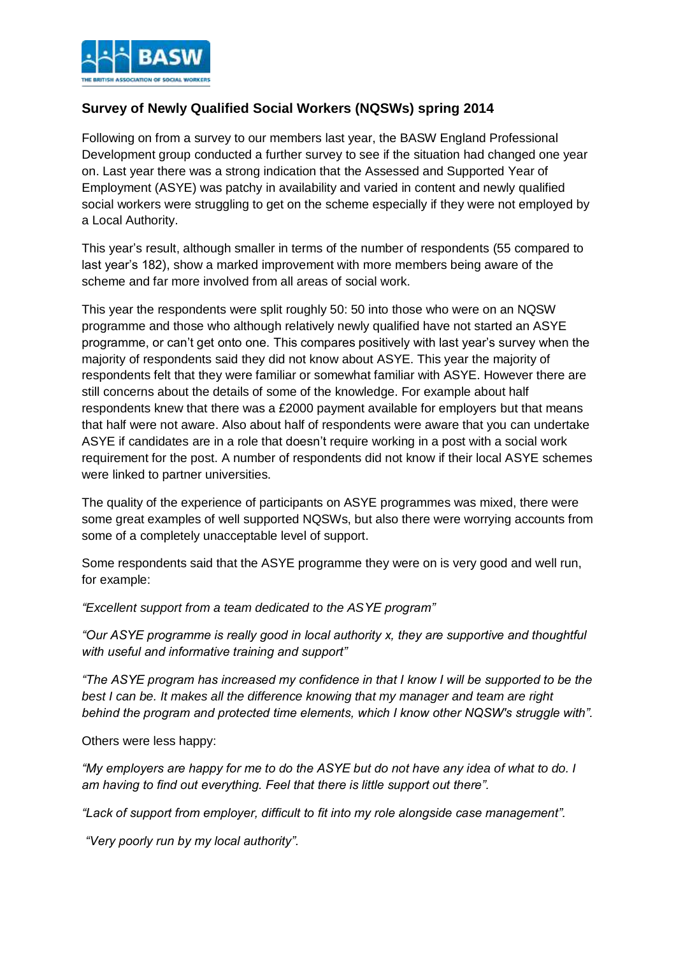

## **Survey of Newly Qualified Social Workers (NQSWs) spring 2014**

Following on from a survey to our members last year, the BASW England Professional Development group conducted a further survey to see if the situation had changed one year on. Last year there was a strong indication that the Assessed and Supported Year of Employment (ASYE) was patchy in availability and varied in content and newly qualified social workers were struggling to get on the scheme especially if they were not employed by a Local Authority.

This year's result, although smaller in terms of the number of respondents (55 compared to last year's 182), show a marked improvement with more members being aware of the scheme and far more involved from all areas of social work.

This year the respondents were split roughly 50: 50 into those who were on an NQSW programme and those who although relatively newly qualified have not started an ASYE programme, or can't get onto one. This compares positively with last year's survey when the majority of respondents said they did not know about ASYE. This year the majority of respondents felt that they were familiar or somewhat familiar with ASYE. However there are still concerns about the details of some of the knowledge. For example about half respondents knew that there was a £2000 payment available for employers but that means that half were not aware. Also about half of respondents were aware that you can undertake ASYE if candidates are in a role that doesn't require working in a post with a social work requirement for the post. A number of respondents did not know if their local ASYE schemes were linked to partner universities.

The quality of the experience of participants on ASYE programmes was mixed, there were some great examples of well supported NQSWs, but also there were worrying accounts from some of a completely unacceptable level of support.

Some respondents said that the ASYE programme they were on is very good and well run, for example:

*"Excellent support from a team dedicated to the ASYE program"*

*"Our ASYE programme is really good in local authority x, they are supportive and thoughtful with useful and informative training and support"*

*"The ASYE program has increased my confidence in that I know I will be supported to be the best I can be. It makes all the difference knowing that my manager and team are right behind the program and protected time elements, which I know other NQSW's struggle with".*

Others were less happy:

*"My employers are happy for me to do the ASYE but do not have any idea of what to do. I am having to find out everything. Feel that there is little support out there".*

*"Lack of support from employer, difficult to fit into my role alongside case management".*

*"Very poorly run by my local authority".*